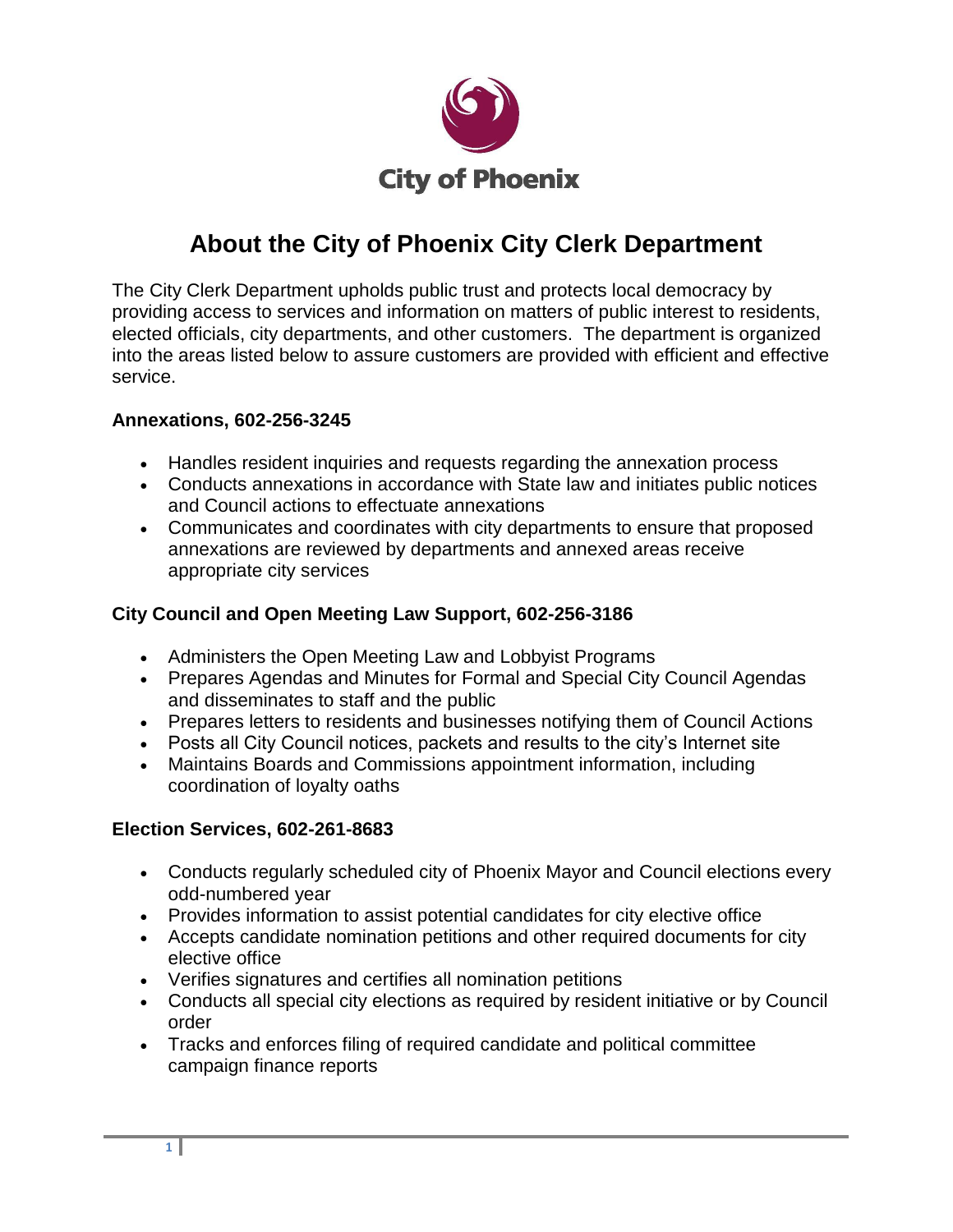

# **About the City of Phoenix City Clerk Department**

The City Clerk Department upholds public trust and protects local democracy by providing access to services and information on matters of public interest to residents, elected officials, city departments, and other customers. The department is organized into the areas listed below to assure customers are provided with efficient and effective service.

### **Annexations, 602-256-3245**

- Handles resident inquiries and requests regarding the annexation process
- Conducts annexations in accordance with State law and initiates public notices and Council actions to effectuate annexations
- Communicates and coordinates with city departments to ensure that proposed annexations are reviewed by departments and annexed areas receive appropriate city services

## **City Council and Open Meeting Law Support, 602-256-3186**

- Administers the Open Meeting Law and Lobbyist Programs
- Prepares Agendas and Minutes for Formal and Special City Council Agendas and disseminates to staff and the public
- Prepares letters to residents and businesses notifying them of Council Actions
- Posts all City Council notices, packets and results to the city's Internet site
- Maintains Boards and Commissions appointment information, including coordination of loyalty oaths

#### **Election Services, 602-261-8683**

- Conducts regularly scheduled city of Phoenix Mayor and Council elections every odd-numbered year
- Provides information to assist potential candidates for city elective office
- Accepts candidate nomination petitions and other required documents for city elective office
- Verifies signatures and certifies all nomination petitions
- Conducts all special city elections as required by resident initiative or by Council order
- Tracks and enforces filing of required candidate and political committee campaign finance reports